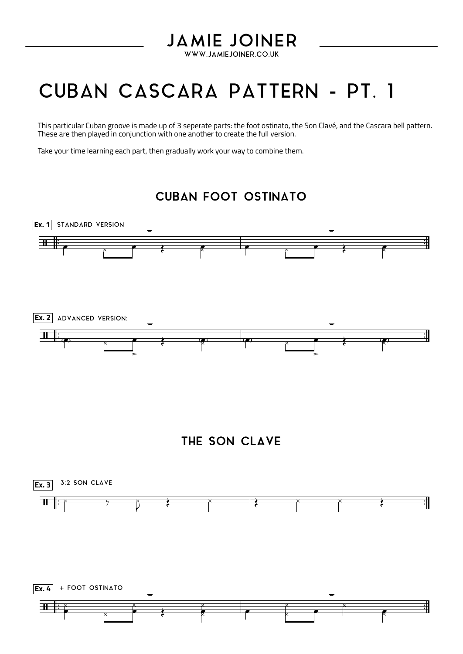### **JAMIE JOINER**

WWW.JAMIEJOINER.CO.UK

# **CUBAN CASCARA PATTERN - PT. 1**<br>This particular Cuban groove is made up of 3 seperate parts: the foot ostinato, the Son Clavé, and the Cascara l<br>These are then played in conjunction with one another to create the full ver

This particular Cuban groove is made up of 3 seperate parts: the foot ostinato, the Son Clavé, and the Cascara bell pattern. These are then played in conjunction with one another to create the full version.

#### CUBAN FOOT OSTINATO



#### THE SON CLAVE